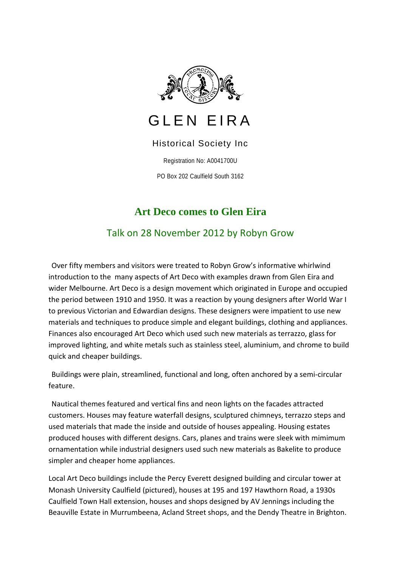

## GLEN EIRA

## Historical Society Inc

Registration No: A0041700U

PO Box 202 Caulfield South 3162

## **Art Deco comes to Glen Eira**

Talk on 28 November 2012 by Robyn Grow

Over fifty members and visitors were treated to Robyn Grow's informative whirlwind introduction to the many aspects of Art Deco with examples drawn from Glen Eira and wider Melbourne. Art Deco is a design movement which originated in Europe and occupied the period between 1910 and 1950. It was a reaction by young designers after World War I to previous Victorian and Edwardian designs. These designers were impatient to use new materials and techniques to produce simple and elegant buildings, clothing and appliances. Finances also encouraged Art Deco which used such new materials as terrazzo, glass for improved lighting, and white metals such as stainless steel, aluminium, and chrome to build quick and cheaper buildings.

Buildings were plain, streamlined, functional and long, often anchored by a semi-circular feature.

Nautical themes featured and vertical fins and neon lights on the facades attracted customers. Houses may feature waterfall designs, sculptured chimneys, terrazzo steps and used materials that made the inside and outside of houses appealing. Housing estates produced houses with different designs. Cars, planes and trains were sleek with mimimum ornamentation while industrial designers used such new materials as Bakelite to produce simpler and cheaper home appliances.

Local Art Deco buildings include the Percy Everett designed building and circular tower at Monash University Caulfield (pictured), houses at 195 and 197 Hawthorn Road, a 1930s Caulfield Town Hall extension, houses and shops designed by AV Jennings including the Beauville Estate in Murrumbeena, Acland Street shops, and the Dendy Theatre in Brighton.